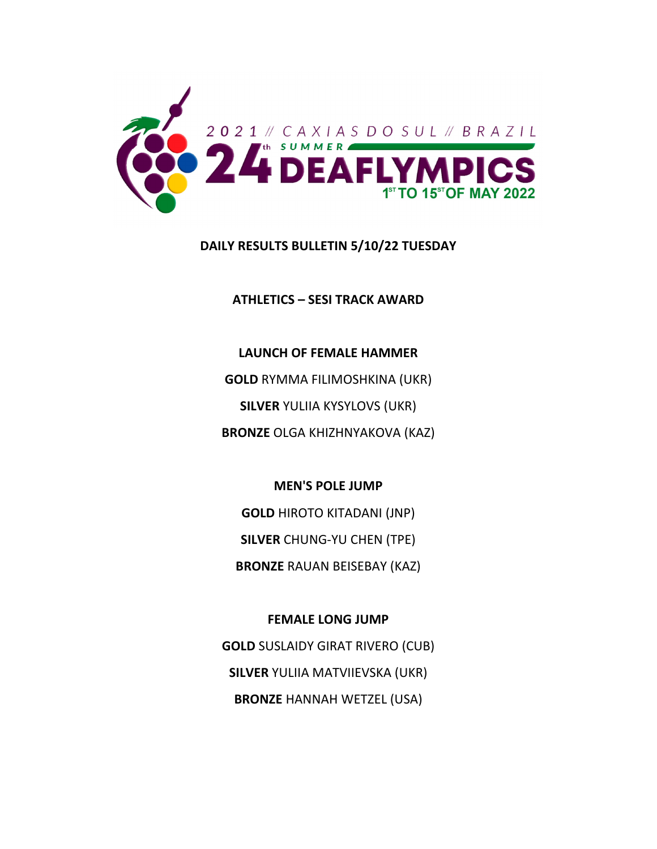

# **DAILY RESULTS BULLETIN 5/10/22 TUESDAY**

**ATHLETICS – SESI TRACK AWARD**

**LAUNCH OF FEMALE HAMMER GOLD** RYMMA FILIMOSHKINA (UKR) **SILVER** YULIIA KYSYLOVS (UKR) **BRONZE** OLGA KHIZHNYAKOVA (KAZ)

**MEN'S POLE JUMP**

**GOLD** HIROTO KITADANI (JNP) **SILVER** CHUNG‐YU CHEN (TPE)

**BRONZE** RAUAN BEISEBAY (KAZ)

**FEMALE LONG JUMP GOLD** SUSLAIDY GIRAT RIVERO (CUB) **SILVER** YULIIA MATVIIEVSKA (UKR) **BRONZE** HANNAH WETZEL (USA)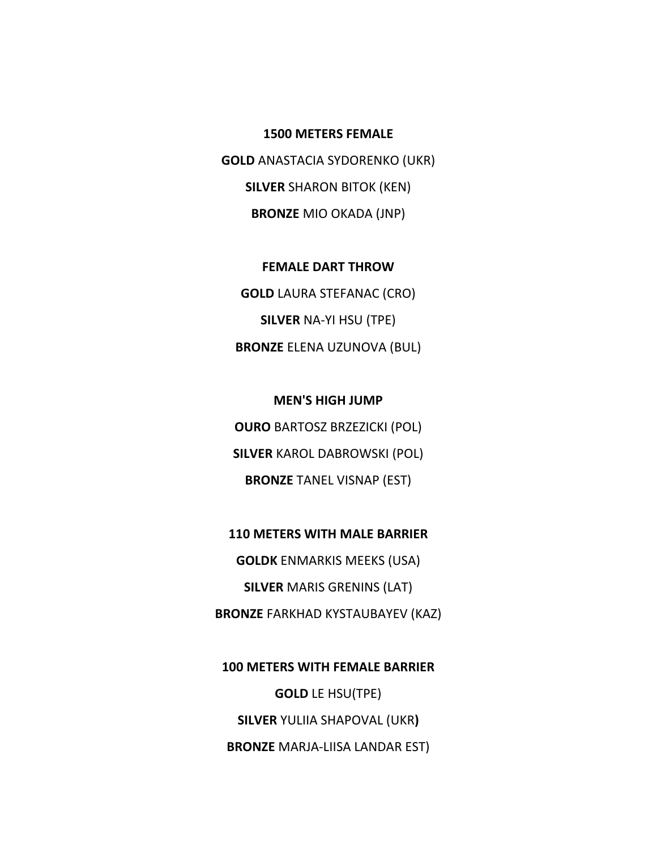**1500 METERS FEMALE GOLD** ANASTACIA SYDORENKO (UKR) **SILVER** SHARON BITOK (KEN) **BRONZE** MIO OKADA (JNP)

**FEMALE DART THROW GOLD** LAURA STEFANAC (CRO) **SILVER** NA‐YI HSU (TPE) **BRONZE** ELENA UZUNOVA (BUL)

**MEN'S HIGH JUMP OURO** BARTOSZ BRZEZICKI (POL) **SILVER** KAROL DABROWSKI (POL) **BRONZE** TANEL VISNAP (EST)

**110 METERS WITH MALE BARRIER**

**GOLDK** ENMARKIS MEEKS (USA) **SILVER** MARIS GRENINS (LAT) **BRONZE** FARKHAD KYSTAUBAYEV (KAZ)

**100 METERS WITH FEMALE BARRIER GOLD** LE HSU(TPE) **SILVER** YULIIA SHAPOVAL (UKR**) BRONZE** MARJA‐LIISA LANDAR EST)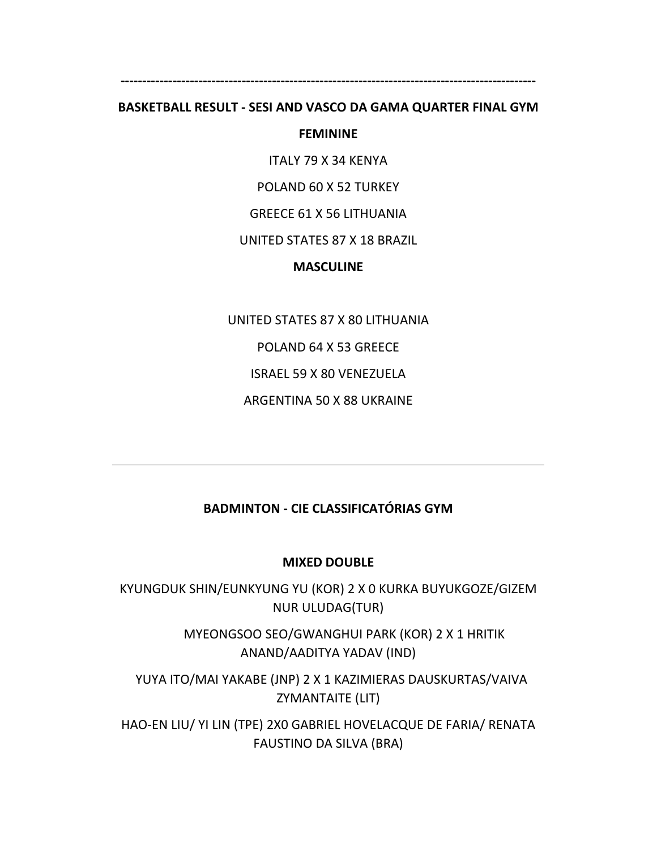# **‐‐‐‐‐‐‐‐‐‐‐‐‐‐‐‐‐‐‐‐‐‐‐‐‐‐‐‐‐‐‐‐‐‐‐‐‐‐‐‐‐‐‐‐‐‐‐‐‐‐‐‐‐‐‐‐‐‐‐‐‐‐‐‐‐‐‐‐‐‐‐‐‐‐‐‐‐‐‐‐‐‐‐‐‐‐‐‐‐‐‐‐‐‐‐‐ BASKETBALL RESULT ‐ SESI AND VASCO DA GAMA QUARTER FINAL GYM**

### **FEMININE**

ITALY 79 X 34 KENYA

POLAND 60 X 52 TURKEY

GREECE 61 X 56 LITHUANIA

UNITED STATES 87 X 18 BRAZIL

**MASCULINE**

UNITED STATES 87 X 80 LITHUANIA

POLAND 64 X 53 GREECE

ISRAEL 59 X 80 VENEZUELA

ARGENTINA 50 X 88 UKRAINE

# **BADMINTON ‐ CIE CLASSIFICATÓRIAS GYM**

### **MIXED DOUBLE**

KYUNGDUK SHIN/EUNKYUNG YU (KOR) 2 X 0 KURKA BUYUKGOZE/GIZEM NUR ULUDAG(TUR)

> MYEONGSOO SEO/GWANGHUI PARK (KOR) 2 X 1 HRITIK ANAND/AADITYA YADAV (IND)

 YUYA ITO/MAI YAKABE (JNP) 2 X 1 KAZIMIERAS DAUSKURTAS/VAIVA ZYMANTAITE (LIT)

HAO‐EN LIU/ YI LIN (TPE) 2X0 GABRIEL HOVELACQUE DE FARIA/ RENATA FAUSTINO DA SILVA (BRA)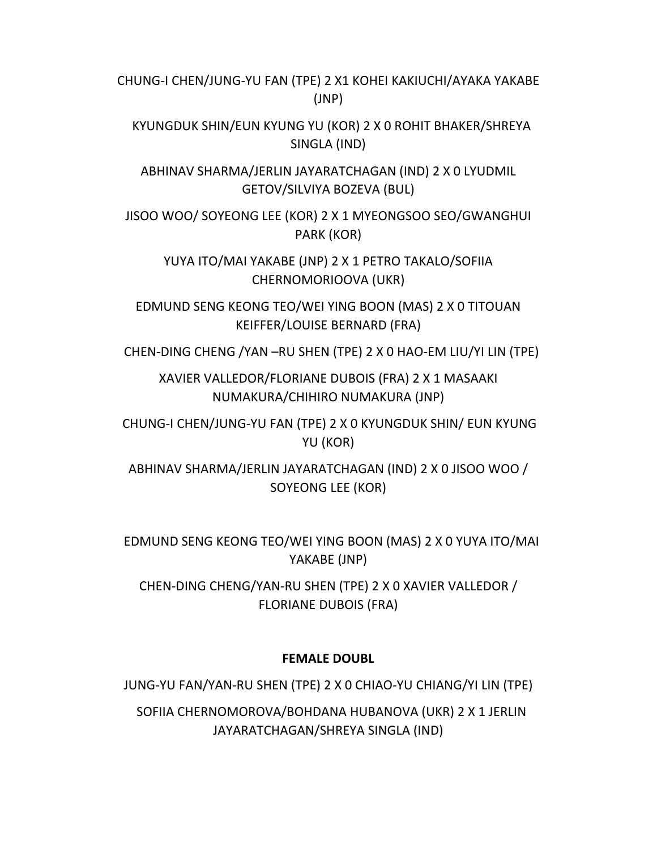CHUNG‐I CHEN/JUNG‐YU FAN (TPE) 2 X1 KOHEI KAKIUCHI/AYAKA YAKABE (JNP)

 KYUNGDUK SHIN/EUN KYUNG YU (KOR) 2 X 0 ROHIT BHAKER/SHREYA SINGLA (IND)

ABHINAV SHARMA/JERLIN JAYARATCHAGAN (IND) 2 X 0 LYUDMIL GETOV/SILVIYA BOZEVA (BUL)

JISOO WOO/ SOYEONG LEE (KOR) 2 X 1 MYEONGSOO SEO/GWANGHUI PARK (KOR)

YUYA ITO/MAI YAKABE (JNP) 2 X 1 PETRO TAKALO/SOFIIA CHERNOMORIOOVA (UKR)

EDMUND SENG KEONG TEO/WEI YING BOON (MAS) 2 X 0 TITOUAN KEIFFER/LOUISE BERNARD (FRA)

CHEN‐DING CHENG /YAN –RU SHEN (TPE) 2 X 0 HAO‐EM LIU/YI LIN (TPE)

XAVIER VALLEDOR/FLORIANE DUBOIS (FRA) 2 X 1 MASAAKI NUMAKURA/CHIHIRO NUMAKURA (JNP)

CHUNG‐I CHEN/JUNG‐YU FAN (TPE) 2 X 0 KYUNGDUK SHIN/ EUN KYUNG YU (KOR)

ABHINAV SHARMA/JERLIN JAYARATCHAGAN (IND) 2 X 0 JISOO WOO / SOYEONG LEE (KOR)

 EDMUND SENG KEONG TEO/WEI YING BOON (MAS) 2 X 0 YUYA ITO/MAI YAKABE (JNP)

CHEN‐DING CHENG/YAN‐RU SHEN (TPE) 2 X 0 XAVIER VALLEDOR / FLORIANE DUBOIS (FRA)

# **FEMALE DOUBL**

JUNG‐YU FAN/YAN‐RU SHEN (TPE) 2 X 0 CHIAO‐YU CHIANG/YI LIN (TPE)

 SOFIIA CHERNOMOROVA/BOHDANA HUBANOVA (UKR) 2 X 1 JERLIN JAYARATCHAGAN/SHREYA SINGLA (IND)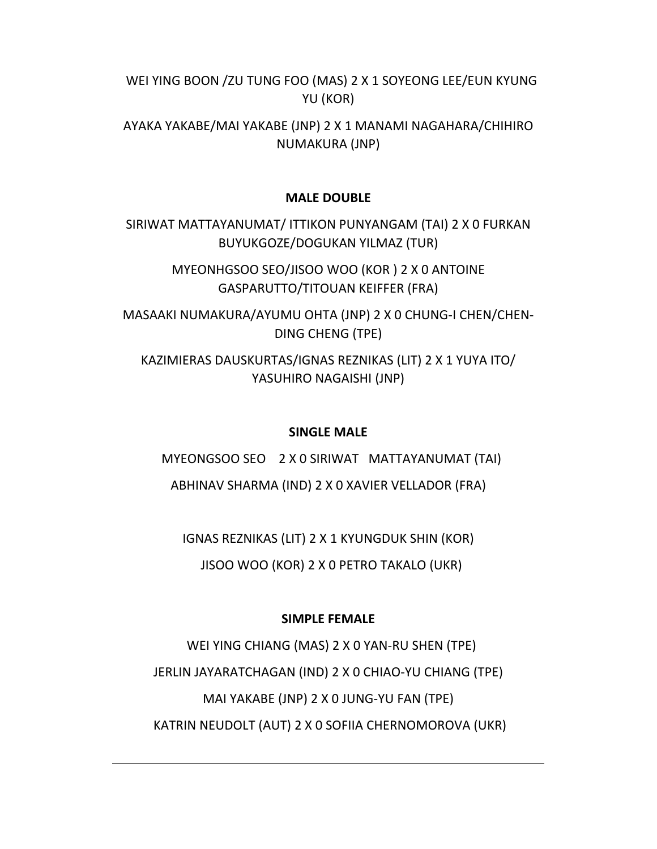WEI YING BOON /ZU TUNG FOO (MAS) 2 X 1 SOYEONG LEE/EUN KYUNG YU (KOR)

AYAKA YAKABE/MAI YAKABE (JNP) 2 X 1 MANAMI NAGAHARA/CHIHIRO NUMAKURA (JNP)

### **MALE DOUBLE**

SIRIWAT MATTAYANUMAT/ ITTIKON PUNYANGAM (TAI) 2 X 0 FURKAN BUYUKGOZE/DOGUKAN YILMAZ (TUR)

> MYEONHGSOO SEO/JISOO WOO (KOR ) 2 X 0 ANTOINE GASPARUTTO/TITOUAN KEIFFER (FRA)

MASAAKI NUMAKURA/AYUMU OHTA (JNP) 2 X 0 CHUNG‐I CHEN/CHEN‐ DING CHENG (TPE)

KAZIMIERAS DAUSKURTAS/IGNAS REZNIKAS (LIT) 2 X 1 YUYA ITO/ YASUHIRO NAGAISHI (JNP)

### **SINGLE MALE**

MYEONGSOO SEO 2 X 0 SIRIWAT MATTAYANUMAT (TAI)

ABHINAV SHARMA (IND) 2 X 0 XAVIER VELLADOR (FRA)

IGNAS REZNIKAS (LIT) 2 X 1 KYUNGDUK SHIN (KOR)

JISOO WOO (KOR) 2 X 0 PETRO TAKALO (UKR)

### **SIMPLE FEMALE**

 WEI YING CHIANG (MAS) 2 X 0 YAN‐RU SHEN (TPE) JERLIN JAYARATCHAGAN (IND) 2 X 0 CHIAO‐YU CHIANG (TPE) MAI YAKABE (JNP) 2 X 0 JUNG‐YU FAN (TPE) KATRIN NEUDOLT (AUT) 2 X 0 SOFIIA CHERNOMOROVA (UKR)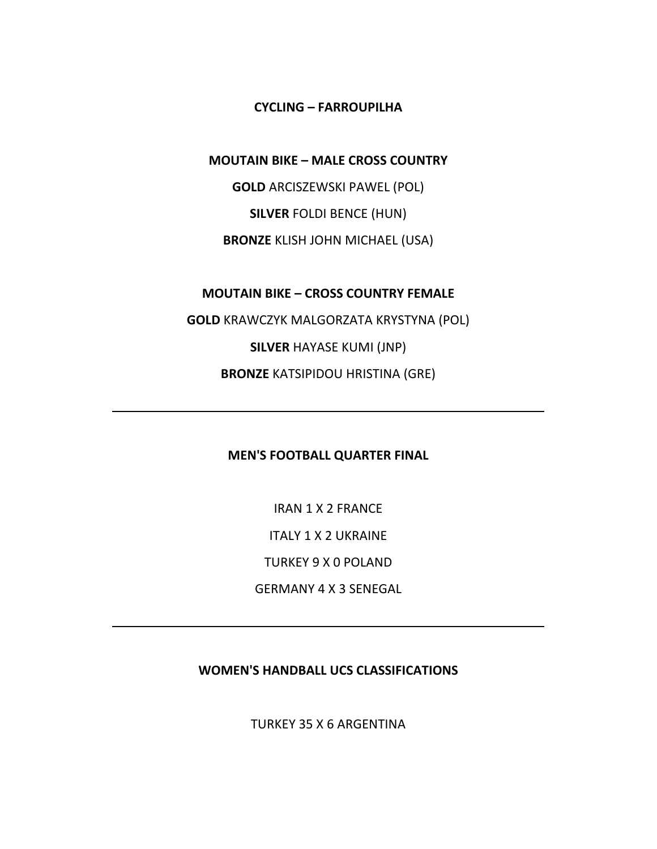**CYCLING – FARROUPILHA**

**MOUTAIN BIKE – MALE CROSS COUNTRY**

**GOLD** ARCISZEWSKI PAWEL (POL) **SILVER** FOLDI BENCE (HUN) **BRONZE** KLISH JOHN MICHAEL (USA)

**MOUTAIN BIKE – CROSS COUNTRY FEMALE**

**GOLD** KRAWCZYK MALGORZATA KRYSTYNA (POL) **SILVER** HAYASE KUMI (JNP) **BRONZE** KATSIPIDOU HRISTINA (GRE)

**MEN'S FOOTBALL QUARTER FINAL**

IRAN 1 X 2 FRANCE ITALY 1 X 2 UKRAINE TURKEY 9 X 0 POLAND GERMANY 4 X 3 SENEGAL

**WOMEN'S HANDBALL UCS CLASSIFICATIONS**

TURKEY 35 X 6 ARGENTINA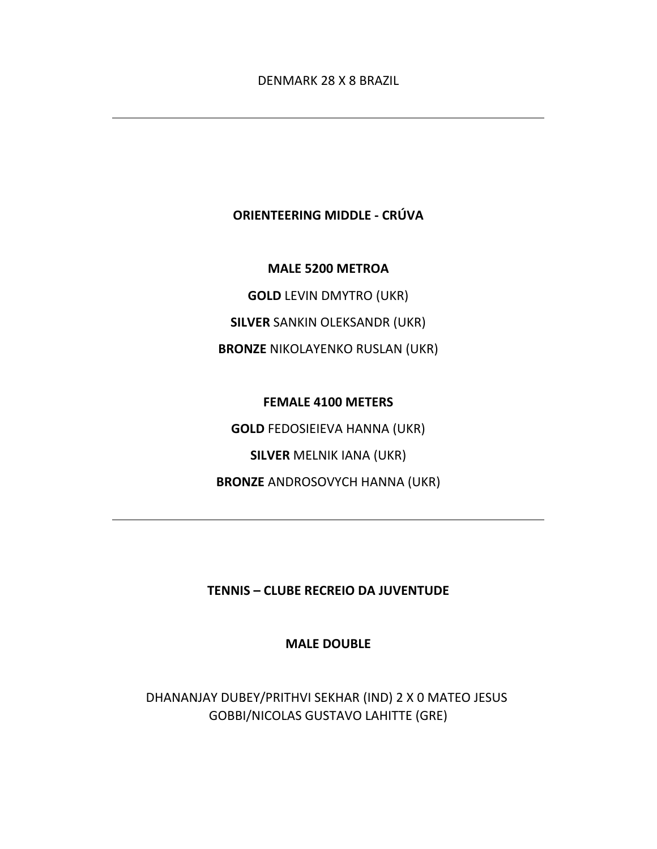# **ORIENTEERING MIDDLE ‐ CRÚVA**

**MALE 5200 METROA**

**GOLD** LEVIN DMYTRO (UKR) **SILVER** SANKIN OLEKSANDR (UKR) **BRONZE** NIKOLAYENKO RUSLAN (UKR)

**FEMALE 4100 METERS GOLD** FEDOSIEIEVA HANNA (UKR) **SILVER** MELNIK IANA (UKR) **BRONZE** ANDROSOVYCH HANNA (UKR)

**TENNIS – CLUBE RECREIO DA JUVENTUDE**

**MALE DOUBLE**

DHANANJAY DUBEY/PRITHVI SEKHAR (IND) 2 X 0 MATEO JESUS GOBBI/NICOLAS GUSTAVO LAHITTE (GRE)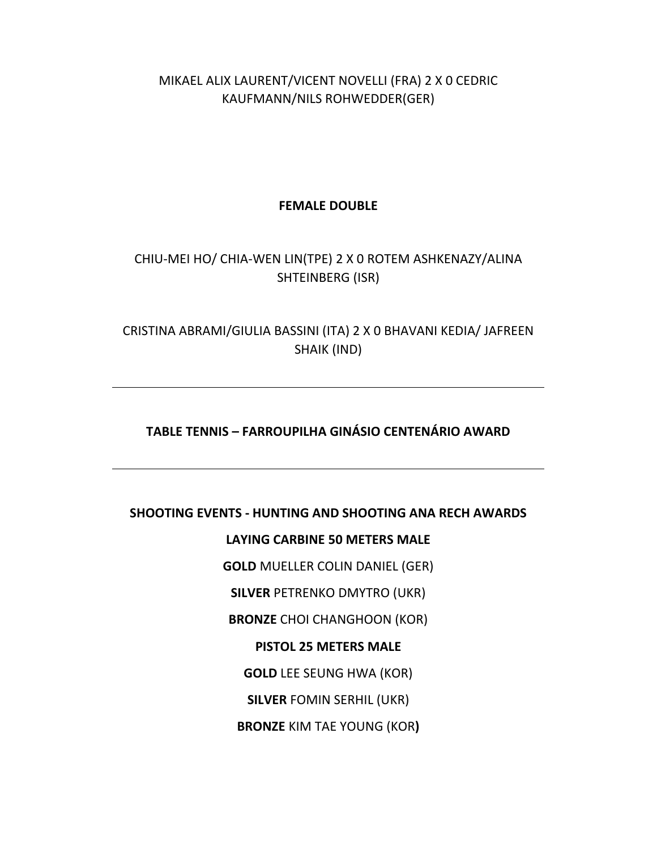MIKAEL ALIX LAURENT/VICENT NOVELLI (FRA) 2 X 0 CEDRIC KAUFMANN/NILS ROHWEDDER(GER)

**FEMALE DOUBLE**

# CHIU‐MEI HO/ CHIA‐WEN LIN(TPE) 2 X 0 ROTEM ASHKENAZY/ALINA SHTEINBERG (ISR)

CRISTINA ABRAMI/GIULIA BASSINI (ITA) 2 X 0 BHAVANI KEDIA/ JAFREEN SHAIK (IND)

# **TABLE TENNIS – FARROUPILHA GINÁSIO CENTENÁRIO AWARD**

### **SHOOTING EVENTS ‐ HUNTING AND SHOOTING ANA RECH AWARDS**

**LAYING CARBINE 50 METERS MALE**

**GOLD** MUELLER COLIN DANIEL (GER)

**SILVER** PETRENKO DMYTRO (UKR)

**BRONZE** CHOI CHANGHOON (KOR)

### **PISTOL 25 METERS MALE**

**GOLD** LEE SEUNG HWA (KOR)

**SILVER** FOMIN SERHIL (UKR)

**BRONZE** KIM TAE YOUNG (KOR**)**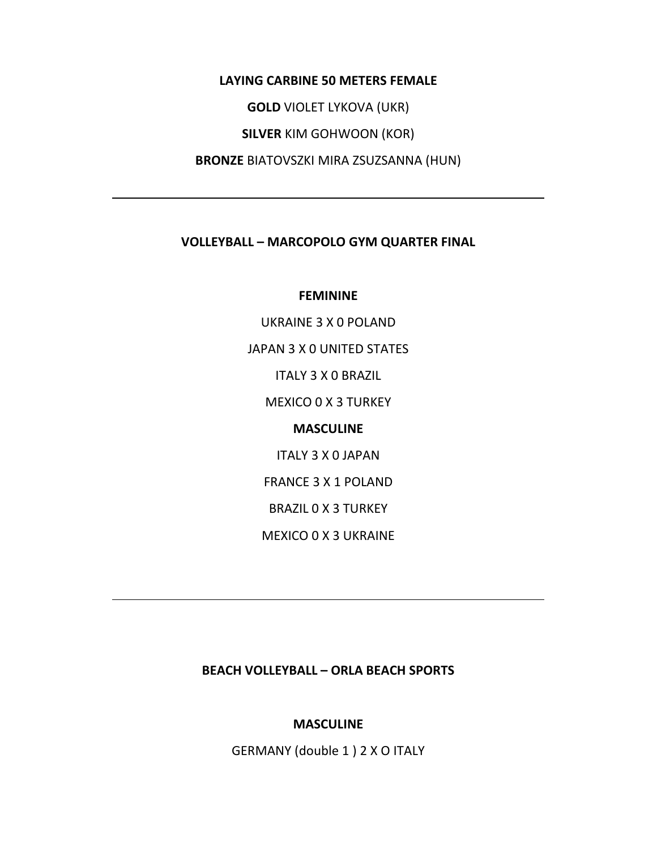**LAYING CARBINE 50 METERS FEMALE GOLD** VIOLET LYKOVA (UKR) **SILVER** KIM GOHWOON (KOR) **BRONZE** BIATOVSZKI MIRA ZSUZSANNA (HUN)

# **VOLLEYBALL – MARCOPOLO GYM QUARTER FINAL**

#### **FEMININE**

UKRAINE 3 X 0 POLAND JAPAN 3 X 0 UNITED STATES ITALY 3 X 0 BRAZIL MEXICO 0 X 3 TURKEY **MASCULINE** ITALY 3 X 0 JAPAN FRANCE 3 X 1 POLAND BRAZIL 0 X 3 TURKEY MEXICO 0 X 3 UKRAINE

### **BEACH VOLLEYBALL – ORLA BEACH SPORTS**

#### **MASCULINE**

GERMANY (double 1 ) 2 X O ITALY